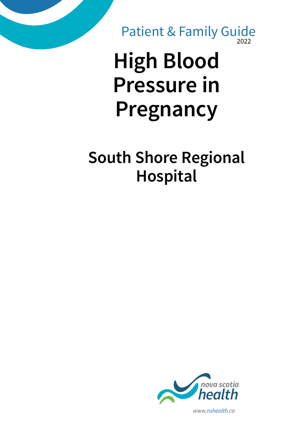2022 Patient & Family Guide

# **High Blood Pressure in Pregnancy**

### **South Shore Regional Hospital**



*www.nshealth.ca*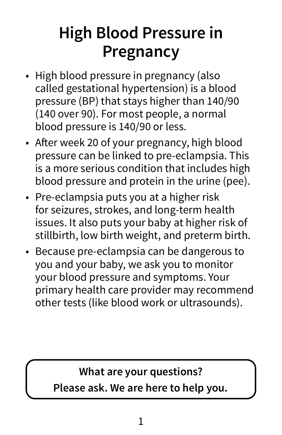## **High Blood Pressure in Pregnancy**

- High blood pressure in pregnancy (also called gestational hypertension) is a blood pressure (BP) that stays higher than 140/90 (140 over 90). For most people, a normal blood pressure is 140/90 or less.
- After week 20 of your pregnancy, high blood pressure can be linked to pre-eclampsia. This is a more serious condition that includes high blood pressure and protein in the urine (pee).
- Pre-eclampsia puts you at a higher risk for seizures, strokes, and long-term health issues. It also puts your baby at higher risk of stillbirth, low birth weight, and preterm birth.
- Because pre-eclampsia can be dangerous to you and your baby, we ask you to monitor your blood pressure and symptoms. Your primary health care provider may recommend other tests (like blood work or ultrasounds).

#### **What are your questions? Please ask. We are here to help you.**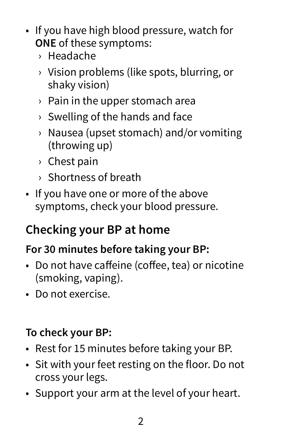- If you have high blood pressure, watch for **ONE** of these symptoms:
	- › Headache
	- › Vision problems (like spots, blurring, or shaky vision)
	- $\rightarrow$  Pain in the upper stomach area
	- › Swelling of the hands and face
	- › Nausea (upset stomach) and/or vomiting (throwing up)
	- › Chest pain
	- › Shortness of breath
- If you have one or more of the above symptoms, check your blood pressure.

### **Checking your BP at home**

#### **For 30 minutes before taking your BP:**

- Do not have caffeine (coffee, tea) or nicotine (smoking, vaping).
- Do not exercise.

#### **To check your BP:**

- Rest for 15 minutes before taking your BP.
- Sit with your feet resting on the floor. Do not cross your legs.
- Support your arm at the level of your heart.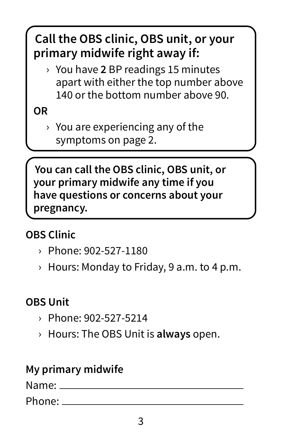### **Call the OBS clinic, OBS unit, or your primary midwife right away if:**

› You have **2** BP readings 15 minutes apart with either the top number above 140 or the bottom number above 90.

#### **OR**

 $\rightarrow$  You are experiencing any of the symptoms on page 2.

**You can call the OBS clinic, OBS unit, or your primary midwife any time if you have questions or concerns about your pregnancy.**

#### **OBS Clinic**

- › Phone: 902-527-1180
- $\rightarrow$  Hours: Monday to Friday, 9 a.m. to 4 p.m.

#### **OBS Unit**

- › Phone: 902-527-5214
- › Hours: The OBS Unit is **always** open.

#### **My primary midwife**

Name:

Phone: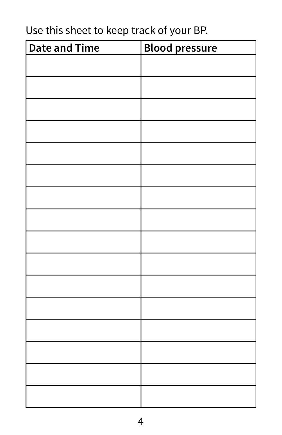#### Use this sheet to keep track of your BP.

| <b>Date and Time</b> | <b>Blood pressure</b> |
|----------------------|-----------------------|
|                      |                       |
|                      |                       |
|                      |                       |
|                      |                       |
|                      |                       |
|                      |                       |
|                      |                       |
|                      |                       |
|                      |                       |
|                      |                       |
|                      |                       |
|                      |                       |
|                      |                       |
|                      |                       |
|                      |                       |
|                      |                       |
|                      |                       |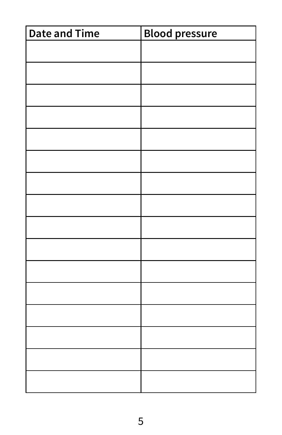| <b>Date and Time</b> | <b>Blood pressure</b> |
|----------------------|-----------------------|
|                      |                       |
|                      |                       |
|                      |                       |
|                      |                       |
|                      |                       |
|                      |                       |
|                      |                       |
|                      |                       |
|                      |                       |
|                      |                       |
|                      |                       |
|                      |                       |
|                      |                       |
|                      |                       |
|                      |                       |
|                      |                       |